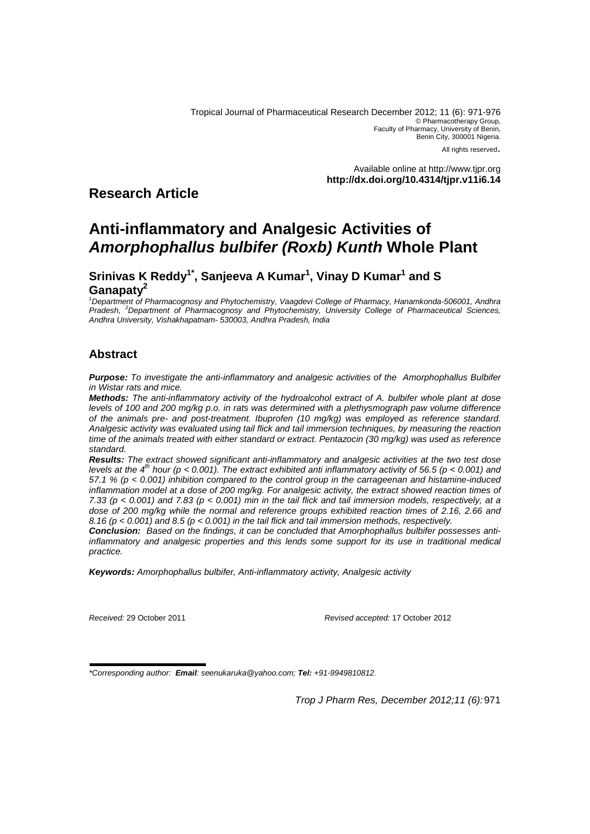Tropical Journal of Pharmaceutical Research December 2012; 11 (6): 971-976 © Pharmacotherapy Group, Faculty of Pharmacy, University of Benin, Benin City, 300001 Nigeria. All rights reserved.

> Available online at http://www.tjpr.org **http://dx.doi.org/10.4314/tjpr.v11i6.14**

# **Research Article**

# **Anti-inflammatory and Analgesic Activities of Amorphophallus bulbifer (Roxb) Kunth Whole Plant**

# **Srinivas K Reddy1\*, Sanjeeva A Kumar<sup>1</sup> , Vinay D Kumar<sup>1</sup> and S Ganapaty<sup>2</sup>**

<sup>1</sup>Department of Pharmacognosy and Phytochemistry, Vaagdevi College of Pharmacy, Hanamkonda-506001, Andhra Pradesh, <sup>2</sup>Department of Pharmacognosy and Phytochemistry, University College of Pharmaceutical Sciences, Andhra University, Vishakhapatnam- 530003, Andhra Pradesh, India

# **Abstract**

**Purpose:** To investigate the anti-inflammatory and analgesic activities of the Amorphophallus Bulbifer in Wistar rats and mice.

**Methods:** The anti-inflammatory activity of the hydroalcohol extract of A. bulbifer whole plant at dose levels of 100 and 200 mg/kg p.o. in rats was determined with a plethysmograph paw volume difference of the animals pre- and post-treatment. Ibuprofen (10 mg/kg) was employed as reference standard. Analgesic activity was evaluated using tail flick and tail immersion techniques, by measuring the reaction time of the animals treated with either standard or extract. Pentazocin (30 mg/kg) was used as reference standard.

**Results:** The extract showed significant anti-inflammatory and analgesic activities at the two test dose levels at the  $4<sup>n</sup>$  hour (p < 0.001). The extract exhibited anti inflammatory activity of 56.5 (p < 0.001) and 57.1 % ( $p < 0.001$ ) inhibition compared to the control group in the carrageenan and histamine-induced inflammation model at a dose of 200 mg/kg. For analgesic activity, the extract showed reaction times of 7.33 ( $p < 0.001$ ) and 7.83 ( $p < 0.001$ ) min in the tail flick and tail immersion models, respectively, at a dose of 200 mg/kg while the normal and reference groups exhibited reaction times of 2.16, 2.66 and 8.16 ( $p < 0.001$ ) and 8.5 ( $p < 0.001$ ) in the tail flick and tail immersion methods, respectively.

**Conclusion:** Based on the findings, it can be concluded that Amorphophallus bulbifer possesses antiinflammatory and analgesic properties and this lends some support for its use in traditional medical practice.

**Keywords:** Amorphophallus bulbifer, Anti-inflammatory activity, Analgesic activity

Received: 29 October 2011 Revised accepted: 17 October 2012

\*Corresponding author: **Email**: seenukaruka@yahoo.com; **Tel:** +91-9949810812.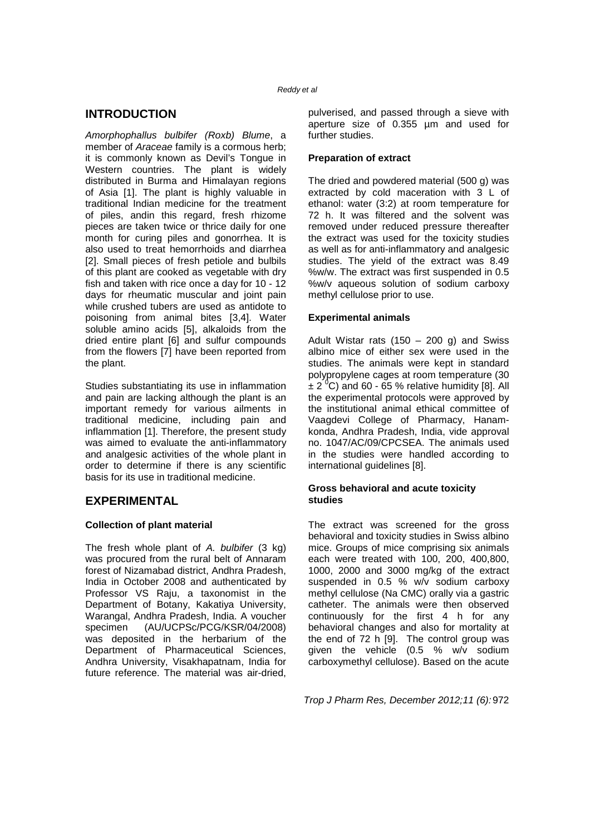## **INTRODUCTION**

Amorphophallus bulbifer (Roxb) Blume, a member of Araceae family is a cormous herb; it is commonly known as Devil's Tongue in Western countries. The plant is widely distributed in Burma and Himalayan regions of Asia [1]. The plant is highly valuable in traditional Indian medicine for the treatment of piles, andin this regard, fresh rhizome pieces are taken twice or thrice daily for one month for curing piles and gonorrhea. It is also used to treat hemorrhoids and diarrhea [2]. Small pieces of fresh petiole and bulbils of this plant are cooked as vegetable with dry fish and taken with rice once a day for 10 - 12 days for rheumatic muscular and joint pain while crushed tubers are used as antidote to poisoning from animal bites [3,4]. Water soluble amino acids [5], alkaloids from the dried entire plant [6] and sulfur compounds from the flowers [7] have been reported from the plant.

Studies substantiating its use in inflammation and pain are lacking although the plant is an important remedy for various ailments in traditional medicine, including pain and inflammation [1]. Therefore, the present study was aimed to evaluate the anti-inflammatory and analgesic activities of the whole plant in order to determine if there is any scientific basis for its use in traditional medicine.

## **EXPERIMENTAL**

## **Collection of plant material**

The fresh whole plant of A. bulbifer (3 kg) was procured from the rural belt of Annaram forest of Nizamabad district, Andhra Pradesh, India in October 2008 and authenticated by Professor VS Raju, a taxonomist in the Department of Botany, Kakatiya University, Warangal, Andhra Pradesh, India. A voucher specimen (AU/UCPSc/PCG/KSR/04/2008) was deposited in the herbarium of the Department of Pharmaceutical Sciences, Andhra University, Visakhapatnam, India for future reference. The material was air-dried,

pulverised, and passed through a sieve with aperture size of 0.355 µm and used for further studies.

#### **Preparation of extract**

The dried and powdered material (500 g) was extracted by cold maceration with 3 L of ethanol: water (3:2) at room temperature for 72 h. It was filtered and the solvent was removed under reduced pressure thereafter the extract was used for the toxicity studies as well as for anti-inflammatory and analgesic studies. The yield of the extract was 8.49 %w/w. The extract was first suspended in 0.5 %w/v aqueous solution of sodium carboxy methyl cellulose prior to use.

## **Experimental animals**

Adult Wistar rats  $(150 - 200$  g) and Swiss albino mice of either sex were used in the studies. The animals were kept in standard polypropylene cages at room temperature (30  $\pm 2$ <sup>0</sup>C) and 60 - 65 % relative humidity [8]. All the experimental protocols were approved by the institutional animal ethical committee of Vaagdevi College of Pharmacy, Hanamkonda, Andhra Pradesh, India, vide approval no. 1047/AC/09/CPCSEA. The animals used in the studies were handled according to international guidelines [8].

#### **Gross behavioral and acute toxicity studies**

The extract was screened for the gross behavioral and toxicity studies in Swiss albino mice. Groups of mice comprising six animals each were treated with 100, 200, 400,800, 1000, 2000 and 3000 mg/kg of the extract suspended in 0.5 % w/v sodium carboxy methyl cellulose (Na CMC) orally via a gastric catheter. The animals were then observed continuously for the first 4 h for any behavioral changes and also for mortality at the end of 72 h [9]. The control group was given the vehicle (0.5 % w/v sodium carboxymethyl cellulose). Based on the acute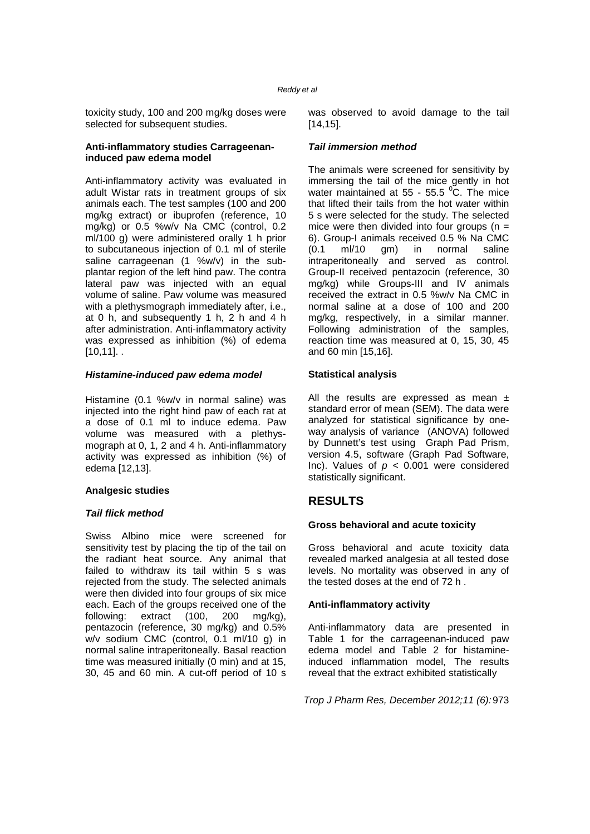toxicity study, 100 and 200 mg/kg doses were selected for subsequent studies.

#### **Anti-inflammatory studies Carrageenaninduced paw edema model**

Anti-inflammatory activity was evaluated in adult Wistar rats in treatment groups of six animals each. The test samples (100 and 200 mg/kg extract) or ibuprofen (reference, 10 mg/kg) or 0.5 %w/v Na CMC (control, 0.2 ml/100 g) were administered orally 1 h prior to subcutaneous injection of 0.1 ml of sterile saline carrageenan (1 %w/v) in the subplantar region of the left hind paw. The contra lateral paw was injected with an equal volume of saline. Paw volume was measured with a plethysmograph immediately after, i.e., at 0 h, and subsequently 1 h, 2 h and 4 h after administration. Anti-inflammatory activity was expressed as inhibition (%) of edema  $[10,11]$ .

#### **Histamine-induced paw edema model**

Histamine (0.1 %w/v in normal saline) was injected into the right hind paw of each rat at a dose of 0.1 ml to induce edema. Paw volume was measured with a plethysmograph at 0, 1, 2 and 4 h. Anti-inflammatory activity was expressed as inhibition (%) of edema [12,13].

#### **Analgesic studies**

## **Tail flick method**

Swiss Albino mice were screened for sensitivity test by placing the tip of the tail on the radiant heat source. Any animal that failed to withdraw its tail within 5 s was rejected from the study. The selected animals were then divided into four groups of six mice each. Each of the groups received one of the following: extract (100, 200 mg/kg), pentazocin (reference, 30 mg/kg) and 0.5% w/v sodium CMC (control, 0.1 ml/10 g) in normal saline intraperitoneally. Basal reaction time was measured initially (0 min) and at 15, 30, 45 and 60 min. A cut-off period of 10 s

was observed to avoid damage to the tail [14,15].

#### **Tail immersion method**

The animals were screened for sensitivity by immersing the tail of the mice gently in hot water maintained at  $55 - 55.5$  °C. The mice that lifted their tails from the hot water within 5 s were selected for the study. The selected mice were then divided into four groups ( $n =$ 6). Group-I animals received 0.5 % Na CMC (0.1 ml/10 gm) in normal saline intraperitoneally and served as control. Group-II received pentazocin (reference, 30 mg/kg) while Groups-III and IV animals received the extract in 0.5 %w/v Na CMC in normal saline at a dose of 100 and 200 mg/kg, respectively, in a similar manner. Following administration of the samples, reaction time was measured at 0, 15, 30, 45 and 60 min [15,16].

#### **Statistical analysis**

All the results are expressed as mean  $\pm$ standard error of mean (SEM). The data were analyzed for statistical significance by oneway analysis of variance (ANOVA) followed by Dunnett's test using Graph Pad Prism, version 4.5, software (Graph Pad Software, Inc). Values of  $p < 0.001$  were considered statistically significant.

## **RESULTS**

## **Gross behavioral and acute toxicity**

Gross behavioral and acute toxicity data revealed marked analgesia at all tested dose levels. No mortality was observed in any of the tested doses at the end of 72 h .

## **Anti-inflammatory activity**

Anti-inflammatory data are presented in Table 1 for the carrageenan-induced paw edema model and Table 2 for histamineinduced inflammation model, The results reveal that the extract exhibited statistically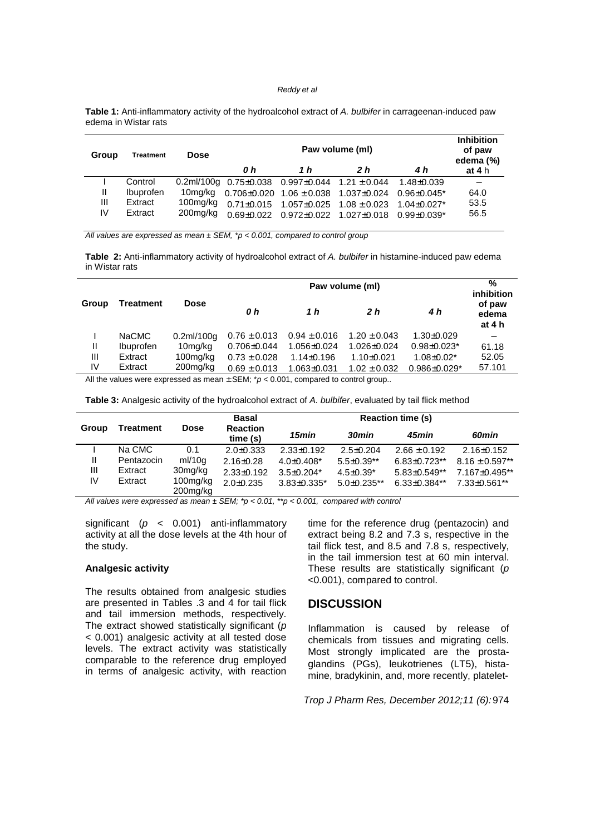**Table 1:** Anti-inflammatory activity of the hydroalcohol extract of A. bulbifer in carrageenan-induced paw edema in Wistar rats

| Group | <b>Treatment</b> | <b>Dose</b> | 0 h        | <b>Inhibition</b><br>of paw<br>edema (%)<br>at $4h$         |                                                                            |                    |      |
|-------|------------------|-------------|------------|-------------------------------------------------------------|----------------------------------------------------------------------------|--------------------|------|
|       | Control          |             |            | 0.2ml/100g $0.75\pm0.038$ 0.997 $\pm0.044$ 1.21 $\pm$ 0.044 |                                                                            | 1.48±0.039         |      |
| Ш     | Ibuprofen        | 10ma/ka     |            |                                                             | $0.706\pm0.020$ $1.06\pm0.038$ $1.037\pm0.024$ $0.96\pm0.045$ <sup>*</sup> |                    | 64.0 |
| Ш     | Extract          | $100$ mg/kg |            | $0.71\pm0.015$ 1.057 $\pm$ 0.025 1.08 $\pm$ 0.023           |                                                                            | $1.04 \pm 0.027$ * | 53.5 |
| IV    | Extract          | 200mg/kg    | በ 69+0 022 | $0.972 \pm 0.022$ 1.027 $\pm 0.018$                         |                                                                            | $0.99 + 0.039*$    | 56.5 |

All values are expressed as mean  $\pm$  SEM, \*p < 0.001, compared to control group

**Table 2:** Anti-inflammatory activity of hydroalcohol extract of A. bulbifer in histamine-induced paw edema in Wistar rats

|              | <b>Treatment</b> |               |                                                                                                                                                                     | $\%$<br>inhibition |                  |                     |                           |
|--------------|------------------|---------------|---------------------------------------------------------------------------------------------------------------------------------------------------------------------|--------------------|------------------|---------------------|---------------------------|
| Group        |                  | <b>Dose</b>   | 0 h                                                                                                                                                                 | 1 h                | 2 h              | 4 h                 | of paw<br>edema<br>at 4 h |
|              | NaCMC            | $0.2$ ml/100g | $0.76 \pm 0.013$                                                                                                                                                    | $0.94 \pm 0.016$   | $1.20 \pm 0.043$ | $1.30 \pm 0.029$    |                           |
| $\mathbf{I}$ | <b>Ibuprofen</b> | 10mg/kg       | $0.706 \pm 0.044$                                                                                                                                                   | 1.056±0.024        | 1.026±0.024      | $0.98 \pm 0.023*$   | 61.18                     |
| Ш            | Extract          | $100$ mg/kg   | $0.73 \pm 0.028$                                                                                                                                                    | $1.14 \pm 0.196$   | $1.10 \pm 0.021$ | $1.08 \pm 0.02*$    | 52.05                     |
| IV           | Extract          | $200$ mg/kg   | $0.69 \pm 0.013$<br>$\mathbf{A} \cup \mathbf{B}$ and the contract of $\mathbf{A} \cup \mathbf{B}$ and $\mathbf{A} \cup \mathbf{B}$ and $\mathbf{A} \cup \mathbf{B}$ | $1.063 \pm 0.031$  | $1.02 \pm 0.032$ | $0.986 \pm 0.029$ * | 57.101                    |

All the values were expressed as mean  $\pm$  SEM;  $^*p$  < 0.001, compared to control group..

**Table 3:** Analgesic activity of the hydroalcohol extract of A. bulbifer, evaluated by tail flick method

|       |                  | <b>Dose</b>             | <b>Basal</b><br><b>Reaction</b><br>time (s) | <b>Reaction time (s)</b> |                    |                    |                    |  |
|-------|------------------|-------------------------|---------------------------------------------|--------------------------|--------------------|--------------------|--------------------|--|
| Group | <b>Treatment</b> |                         |                                             | 15min                    | 30min              | 45min              | 60min              |  |
|       | Na CMC           | 0.1                     | $2.0 + 0.333$                               | $2.33 \pm 0.192$         | $2.5 \pm 0.204$    | $2.66 \pm 0.192$   | $2.16 \pm 0.152$   |  |
| Ш     | Pentazocin       | ml/10g                  | $2.16 \pm 0.28$                             | $4.0 + 0.408*$           | $5.5 \pm 0.39**$   | $6.83 \pm 0.723**$ | $8.16 \pm 0.597**$ |  |
| Ш     | Extract          | 30mg/kg                 | $2.33 \pm 0.192$                            | $3.5 + 0.204*$           | $4.5 \pm 0.39^*$   | $5.83\pm0.549**$   | $7.167 + 0.495**$  |  |
| IV    | Extract          | 100mg/kg<br>$200$ mg/kg | $2.0 + 0.235$                               | $3.83 \pm 0.335$ *       | $5.0 \pm 0.235$ ** | $6.33 \pm 0.384**$ | $7.33 \pm 0.561**$ |  |

All values were expressed as mean  $\pm$  SEM; \*p < 0.01, \*\*p < 0.001, compared with control

significant ( $p \lt 0.001$ ) anti-inflammatory activity at all the dose levels at the 4th hour of the study.

#### **Analgesic activity**

The results obtained from analgesic studies are presented in Tables .3 and 4 for tail flick and tail immersion methods, respectively. The extract showed statistically significant  $(p)$ < 0.001) analgesic activity at all tested dose levels. The extract activity was statistically comparable to the reference drug employed in terms of analgesic activity, with reaction time for the reference drug (pentazocin) and extract being 8.2 and 7.3 s, respective in the tail flick test, and 8.5 and 7.8 s, respectively, in the tail immersion test at 60 min interval. These results are statistically significant  $(p)$ <0.001), compared to control.

## **DISCUSSION**

Inflammation is caused by release of chemicals from tissues and migrating cells. Most strongly implicated are the prostaglandins (PGs), leukotrienes (LT5), histamine, bradykinin, and, more recently, platelet-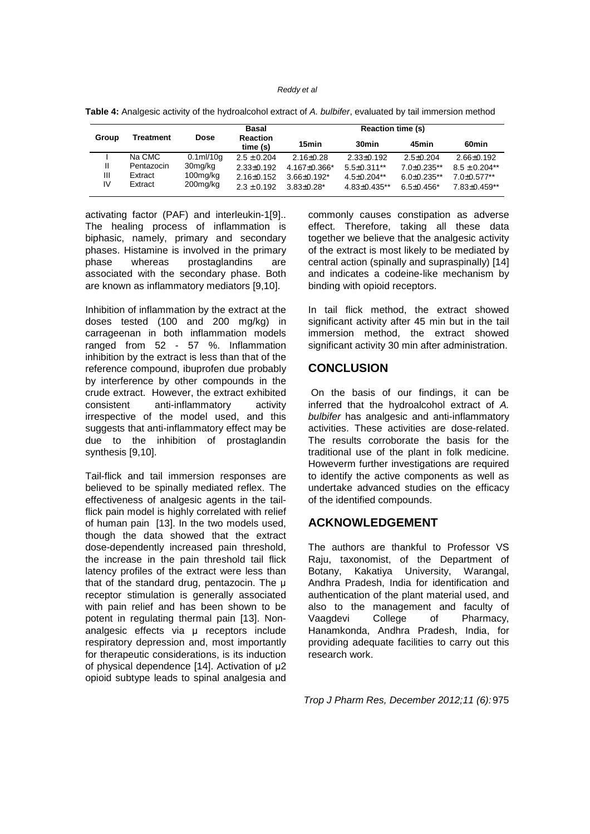|         | <b>Treatment</b>   | <b>Dose</b>             | Basal<br><b>Reaction</b><br>time (s) | <b>Reaction time (s)</b>          |                                          |                                   |                                 |
|---------|--------------------|-------------------------|--------------------------------------|-----------------------------------|------------------------------------------|-----------------------------------|---------------------------------|
| Group   |                    |                         |                                      | 15min                             | 30 <sub>min</sub>                        | 45min                             | 60 <sub>min</sub>               |
|         | Na CMC             | $0.1$ ml/10q            | $2.5 \pm 0.204$                      | $2.16 \pm 0.28$                   | $2.33 \pm 0.192$                         | $2.5 + 0.204$                     | $2.66 + 0.192$                  |
|         | Pentazocin         | 30mg/kg                 | $2.33 \pm 0.192$                     | $4.167 \pm 0.366$ *               | $5.5 \pm 0.311$ **                       | $7.0 + 0.235**$                   | $8.5 \pm 0.204**$               |
| Ш<br>IV | Extract<br>Extract | $100$ mg/kg<br>200mg/kg | $2.16 \pm 0.152$<br>$2.3 \pm 0.192$  | $3.66 + 0.192*$<br>$3.83 + 0.28*$ | $4.5 \pm 0.204**$<br>$4.83 \pm 0.435$ ** | $6.0 + 0.235**$<br>$6.5 + 0.456*$ | $7.0 + 0.577**$<br>7.83±0.459** |

**Table 4:** Analgesic activity of the hydroalcohol extract of A. bulbifer, evaluated by tail immersion method

activating factor (PAF) and interleukin-1[9].. The healing process of inflammation is biphasic, namely, primary and secondary phases. Histamine is involved in the primary phase whereas prostaglandins are associated with the secondary phase. Both are known as inflammatory mediators [9,10].

Inhibition of inflammation by the extract at the doses tested (100 and 200 mg/kg) in carrageenan in both inflammation models ranged from 52 - 57 %. Inflammation inhibition by the extract is less than that of the reference compound, ibuprofen due probably by interference by other compounds in the crude extract. However, the extract exhibited consistent anti-inflammatory activity irrespective of the model used, and this suggests that anti-inflammatory effect may be due to the inhibition of prostaglandin synthesis [9,10].

Tail-flick and tail immersion responses are believed to be spinally mediated reflex. The effectiveness of analgesic agents in the tailflick pain model is highly correlated with relief of human pain [13]. In the two models used, though the data showed that the extract dose-dependently increased pain threshold, the increase in the pain threshold tail flick latency profiles of the extract were less than that of the standard drug, pentazocin. The µ receptor stimulation is generally associated with pain relief and has been shown to be potent in regulating thermal pain [13]. Nonanalgesic effects via  $\mu$  receptors include respiratory depression and, most importantly for therapeutic considerations, is its induction of physical dependence [14]. Activation of µ2 opioid subtype leads to spinal analgesia and

commonly causes constipation as adverse effect. Therefore, taking all these data together we believe that the analgesic activity of the extract is most likely to be mediated by central action (spinally and supraspinally) [14] and indicates a codeine-like mechanism by binding with opioid receptors.

In tail flick method, the extract showed significant activity after 45 min but in the tail immersion method, the extract showed significant activity 30 min after administration.

## **CONCLUSION**

 On the basis of our findings, it can be inferred that the hydroalcohol extract of A. bulbifer has analgesic and anti-inflammatory activities. These activities are dose-related. The results corroborate the basis for the traditional use of the plant in folk medicine. Howeverm further investigations are required to identify the active components as well as undertake advanced studies on the efficacy of the identified compounds.

## **ACKNOWLEDGEMENT**

The authors are thankful to Professor VS Raju, taxonomist, of the Department of Botany, Kakatiya University, Warangal, Andhra Pradesh, India for identification and authentication of the plant material used, and also to the management and faculty of Vaagdevi College of Pharmacy, Hanamkonda, Andhra Pradesh, India, for providing adequate facilities to carry out this research work.